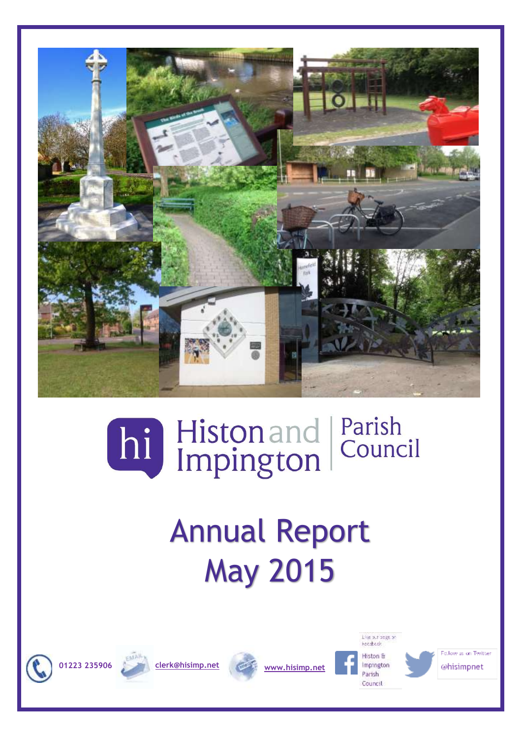

## Parish hi Histonand Council

# Annual Report May 2015











Follow us on Twitter @hisimpnet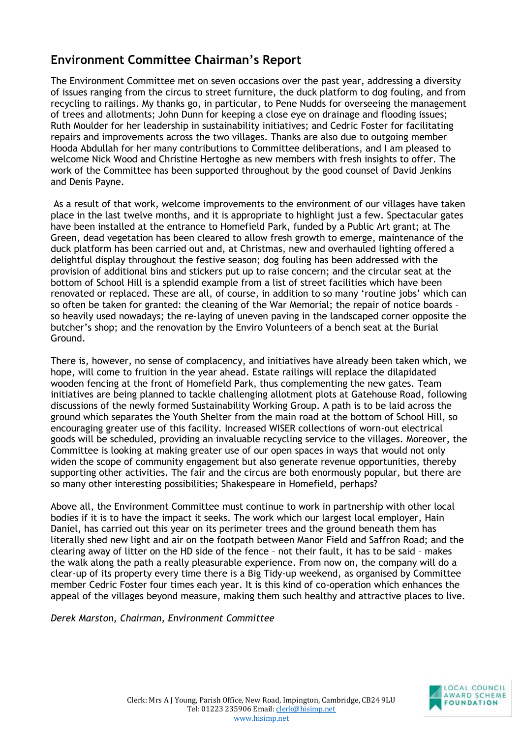## **Environment Committee Chairman's Report**

The Environment Committee met on seven occasions over the past year, addressing a diversity of issues ranging from the circus to street furniture, the duck platform to dog fouling, and from recycling to railings. My thanks go, in particular, to Pene Nudds for overseeing the management of trees and allotments; John Dunn for keeping a close eye on drainage and flooding issues; Ruth Moulder for her leadership in sustainability initiatives; and Cedric Foster for facilitating repairs and improvements across the two villages. Thanks are also due to outgoing member Hooda Abdullah for her many contributions to Committee deliberations, and I am pleased to welcome Nick Wood and Christine Hertoghe as new members with fresh insights to offer. The work of the Committee has been supported throughout by the good counsel of David Jenkins and Denis Payne.

As a result of that work, welcome improvements to the environment of our villages have taken place in the last twelve months, and it is appropriate to highlight just a few. Spectacular gates have been installed at the entrance to Homefield Park, funded by a Public Art grant; at The Green, dead vegetation has been cleared to allow fresh growth to emerge, maintenance of the duck platform has been carried out and, at Christmas, new and overhauled lighting offered a delightful display throughout the festive season; dog fouling has been addressed with the provision of additional bins and stickers put up to raise concern; and the circular seat at the bottom of School Hill is a splendid example from a list of street facilities which have been renovated or replaced. These are all, of course, in addition to so many 'routine jobs' which can so often be taken for granted: the cleaning of the War Memorial; the repair of notice boards so heavily used nowadays; the re-laying of uneven paving in the landscaped corner opposite the butcher's shop; and the renovation by the Enviro Volunteers of a bench seat at the Burial Ground.

There is, however, no sense of complacency, and initiatives have already been taken which, we hope, will come to fruition in the year ahead. Estate railings will replace the dilapidated wooden fencing at the front of Homefield Park, thus complementing the new gates. Team initiatives are being planned to tackle challenging allotment plots at Gatehouse Road, following discussions of the newly formed Sustainability Working Group. A path is to be laid across the ground which separates the Youth Shelter from the main road at the bottom of School Hill, so encouraging greater use of this facility. Increased WISER collections of worn-out electrical goods will be scheduled, providing an invaluable recycling service to the villages. Moreover, the Committee is looking at making greater use of our open spaces in ways that would not only widen the scope of community engagement but also generate revenue opportunities, thereby supporting other activities. The fair and the circus are both enormously popular, but there are so many other interesting possibilities; Shakespeare in Homefield, perhaps?

Above all, the Environment Committee must continue to work in partnership with other local bodies if it is to have the impact it seeks. The work which our largest local employer, Hain Daniel, has carried out this year on its perimeter trees and the ground beneath them has literally shed new light and air on the footpath between Manor Field and Saffron Road; and the clearing away of litter on the HD side of the fence – not their fault, it has to be said – makes the walk along the path a really pleasurable experience. From now on, the company will do a clear-up of its property every time there is a Big Tidy-up weekend, as organised by Committee member Cedric Foster four times each year. It is this kind of co-operation which enhances the appeal of the villages beyond measure, making them such healthy and attractive places to live.

*Derek Marston, Chairman, Environment Committee*

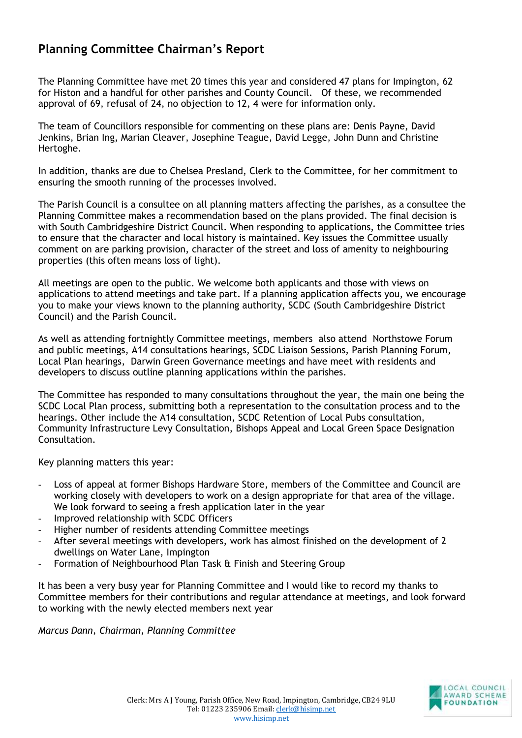## **Planning Committee Chairman's Report**

The Planning Committee have met 20 times this year and considered 47 plans for Impington, 62 for Histon and a handful for other parishes and County Council. Of these, we recommended approval of 69, refusal of 24, no objection to 12, 4 were for information only.

The team of Councillors responsible for commenting on these plans are: Denis Payne, David Jenkins, Brian Ing, Marian Cleaver, Josephine Teague, David Legge, John Dunn and Christine Hertoghe.

In addition, thanks are due to Chelsea Presland, Clerk to the Committee, for her commitment to ensuring the smooth running of the processes involved.

The Parish Council is a consultee on all planning matters affecting the parishes, as a consultee the Planning Committee makes a recommendation based on the plans provided. The final decision is with South Cambridgeshire District Council. When responding to applications, the Committee tries to ensure that the character and local history is maintained. Key issues the Committee usually comment on are parking provision, character of the street and loss of amenity to neighbouring properties (this often means loss of light).

All meetings are open to the public. We welcome both applicants and those with views on applications to attend meetings and take part. If a planning application affects you, we encourage you to make your views known to the planning authority, SCDC (South Cambridgeshire District Council) and the Parish Council.

As well as attending fortnightly Committee meetings, members also attend Northstowe Forum and public meetings, A14 consultations hearings, SCDC Liaison Sessions, Parish Planning Forum, Local Plan hearings, Darwin Green Governance meetings and have meet with residents and developers to discuss outline planning applications within the parishes.

The Committee has responded to many consultations throughout the year, the main one being the SCDC Local Plan process, submitting both a representation to the consultation process and to the hearings. Other include the A14 consultation, SCDC Retention of Local Pubs consultation, Community Infrastructure Levy Consultation, Bishops Appeal and Local Green Space Designation Consultation.

Key planning matters this year:

- Loss of appeal at former Bishops Hardware Store, members of the Committee and Council are working closely with developers to work on a design appropriate for that area of the village. We look forward to seeing a fresh application later in the year
- Improved relationship with SCDC Officers
- Higher number of residents attending Committee meetings
- After several meetings with developers, work has almost finished on the development of 2 dwellings on Water Lane, Impington
- Formation of Neighbourhood Plan Task & Finish and Steering Group

It has been a very busy year for Planning Committee and I would like to record my thanks to Committee members for their contributions and regular attendance at meetings, and look forward to working with the newly elected members next year

*Marcus Dann, Chairman, Planning Committee*

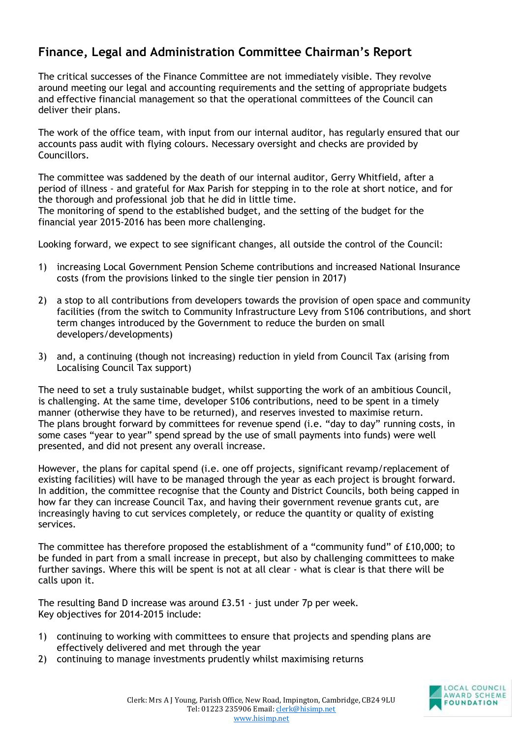## **Finance, Legal and Administration Committee Chairman's Report**

The critical successes of the Finance Committee are not immediately visible. They revolve around meeting our legal and accounting requirements and the setting of appropriate budgets and effective financial management so that the operational committees of the Council can deliver their plans.

The work of the office team, with input from our internal auditor, has regularly ensured that our accounts pass audit with flying colours. Necessary oversight and checks are provided by Councillors.

The committee was saddened by the death of our internal auditor, Gerry Whitfield, after a period of illness - and grateful for Max Parish for stepping in to the role at short notice, and for the thorough and professional job that he did in little time.

The monitoring of spend to the established budget, and the setting of the budget for the financial year 2015-2016 has been more challenging.

Looking forward, we expect to see significant changes, all outside the control of the Council:

- 1) increasing Local Government Pension Scheme contributions and increased National Insurance costs (from the provisions linked to the single tier pension in 2017)
- 2) a stop to all contributions from developers towards the provision of open space and community facilities (from the switch to Community Infrastructure Levy from S106 contributions, and short term changes introduced by the Government to reduce the burden on small developers/developments)
- 3) and, a continuing (though not increasing) reduction in yield from Council Tax (arising from Localising Council Tax support)

The need to set a truly sustainable budget, whilst supporting the work of an ambitious Council, is challenging. At the same time, developer S106 contributions, need to be spent in a timely manner (otherwise they have to be returned), and reserves invested to maximise return. The plans brought forward by committees for revenue spend (i.e. "day to day" running costs, in some cases "year to year" spend spread by the use of small payments into funds) were well presented, and did not present any overall increase.

However, the plans for capital spend (i.e. one off projects, significant revamp/replacement of existing facilities) will have to be managed through the year as each project is brought forward. In addition, the committee recognise that the County and District Councils, both being capped in how far they can increase Council Tax, and having their government revenue grants cut, are increasingly having to cut services completely, or reduce the quantity or quality of existing services.

The committee has therefore proposed the establishment of a "community fund" of £10,000; to be funded in part from a small increase in precept, but also by challenging committees to make further savings. Where this will be spent is not at all clear - what is clear is that there will be calls upon it.

The resulting Band D increase was around £3.51 - just under 7p per week. Key objectives for 2014-2015 include:

- 1) continuing to working with committees to ensure that projects and spending plans are effectively delivered and met through the year
- 2) continuing to manage investments prudently whilst maximising returns

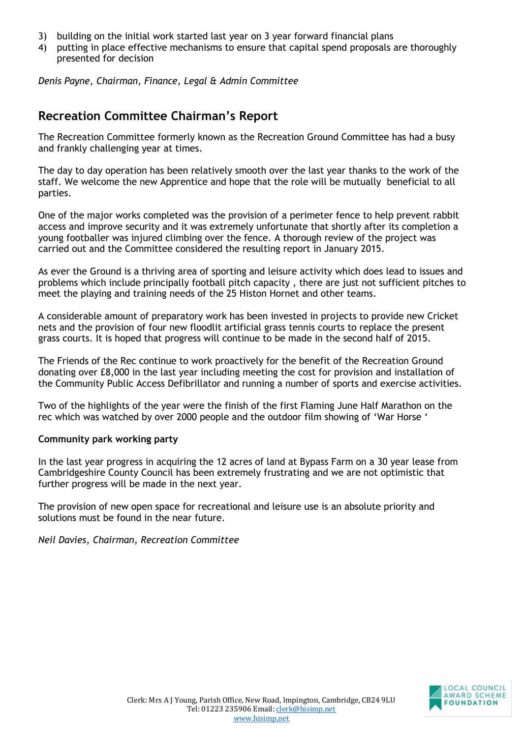- 3) building on the initial work started last year on 3 year forward financial plans
- 4) putting in place effective mechanisms to ensure that capital spend proposals are thoroughly presented for decision

*Denis Payne, Chairman, Finance, Legal & Admin Committee* 

### **Recreation Committee Chairman's Report**

The Recreation Committee formerly known as the Recreation Ground Committee has had a busy and frankly challenging year at times.

The day to day operation has been relatively smooth over the last year thanks to the work of the staff. We welcome the new Apprentice and hope that the role will be mutually beneficial to all parties.

One of the major works completed was the provision of a perimeter fence to help prevent rabbit access and improve security and it was extremely unfortunate that shortly after its completion a young footballer was injured climbing over the fence. A thorough review of the project was carried out and the Committee considered the resulting report in January 2015.

As ever the Ground is a thriving area of sporting and leisure activity which does lead to issues and problems which include principally football pitch capacity , there are just not sufficient pitches to meet the playing and training needs of the 25 Histon Hornet and other teams.

A considerable amount of preparatory work has been invested in projects to provide new Cricket nets and the provision of four new floodlit artificial grass tennis courts to replace the present grass courts. It is hoped that progress will continue to be made in the second half of 2015.

The Friends of the Rec continue to work proactively for the benefit of the Recreation Ground donating over £8,000 in the last year including meeting the cost for provision and installation of the Community Public Access Defibrillator and running a number of sports and exercise activities.

Two of the highlights of the year were the finish of the first Flaming June Half Marathon on the rec which was watched by over 2000 people and the outdoor film showing of 'War Horse '

#### **Community park working party**

In the last year progress in acquiring the 12 acres of land at Bypass Farm on a 30 year lease from Cambridgeshire County Council has been extremely frustrating and we are not optimistic that further progress will be made in the next year.

The provision of new open space for recreational and leisure use is an absolute priority and solutions must be found in the near future.

*Neil Davies, Chairman, Recreation Committee* 

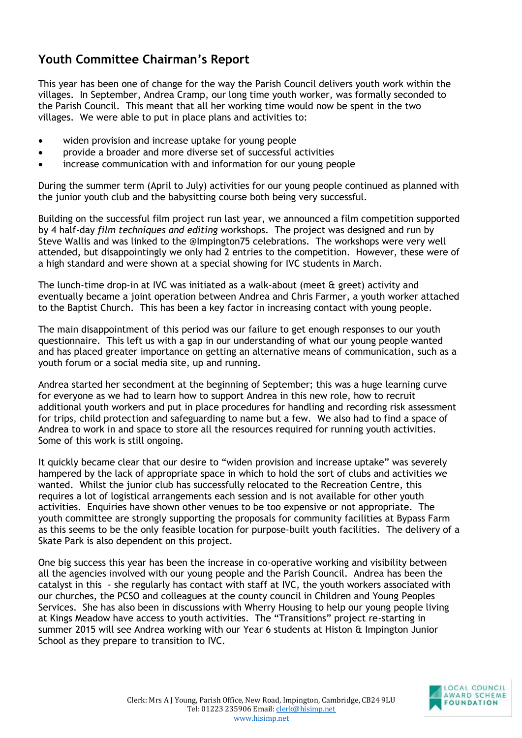## **Youth Committee Chairman's Report**

This year has been one of change for the way the Parish Council delivers youth work within the villages. In September, Andrea Cramp, our long time youth worker, was formally seconded to the Parish Council. This meant that all her working time would now be spent in the two villages. We were able to put in place plans and activities to:

- widen provision and increase uptake for young people
- provide a broader and more diverse set of successful activities
- increase communication with and information for our young people

During the summer term (April to July) activities for our young people continued as planned with the junior youth club and the babysitting course both being very successful.

Building on the successful film project run last year, we announced a film competition supported by 4 half-day *film techniques and editing* workshops. The project was designed and run by Steve Wallis and was linked to the @Impington75 celebrations. The workshops were very well attended, but disappointingly we only had 2 entries to the competition. However, these were of a high standard and were shown at a special showing for IVC students in March.

The lunch-time drop-in at IVC was initiated as a walk-about (meet & greet) activity and eventually became a joint operation between Andrea and Chris Farmer, a youth worker attached to the Baptist Church. This has been a key factor in increasing contact with young people.

The main disappointment of this period was our failure to get enough responses to our youth questionnaire. This left us with a gap in our understanding of what our young people wanted and has placed greater importance on getting an alternative means of communication, such as a youth forum or a social media site, up and running.

Andrea started her secondment at the beginning of September; this was a huge learning curve for everyone as we had to learn how to support Andrea in this new role, how to recruit additional youth workers and put in place procedures for handling and recording risk assessment for trips, child protection and safeguarding to name but a few. We also had to find a space of Andrea to work in and space to store all the resources required for running youth activities. Some of this work is still ongoing.

It quickly became clear that our desire to "widen provision and increase uptake" was severely hampered by the lack of appropriate space in which to hold the sort of clubs and activities we wanted. Whilst the junior club has successfully relocated to the Recreation Centre, this requires a lot of logistical arrangements each session and is not available for other youth activities. Enquiries have shown other venues to be too expensive or not appropriate. The youth committee are strongly supporting the proposals for community facilities at Bypass Farm as this seems to be the only feasible location for purpose-built youth facilities. The delivery of a Skate Park is also dependent on this project.

One big success this year has been the increase in co-operative working and visibility between all the agencies involved with our young people and the Parish Council. Andrea has been the catalyst in this - she regularly has contact with staff at IVC, the youth workers associated with our churches, the PCSO and colleagues at the county council in Children and Young Peoples Services. She has also been in discussions with Wherry Housing to help our young people living at Kings Meadow have access to youth activities. The "Transitions" project re-starting in summer 2015 will see Andrea working with our Year 6 students at Histon & Impington Junior School as they prepare to transition to IVC.

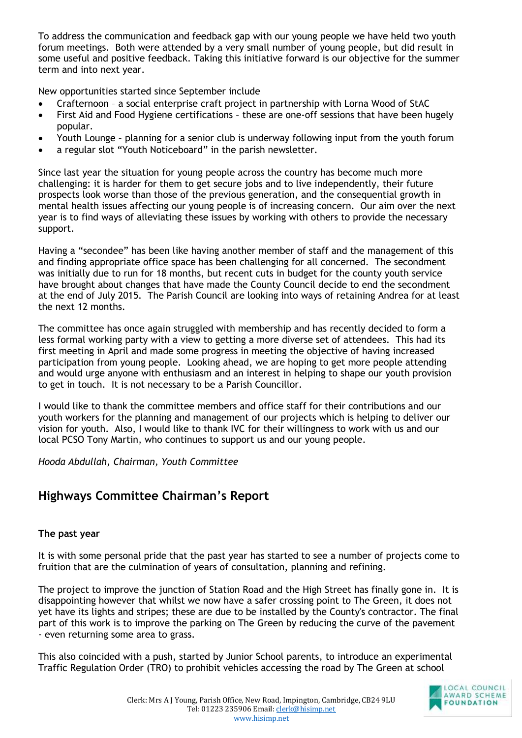To address the communication and feedback gap with our young people we have held two youth forum meetings. Both were attended by a very small number of young people, but did result in some useful and positive feedback. Taking this initiative forward is our objective for the summer term and into next year.

New opportunities started since September include

- Crafternoon a social enterprise craft project in partnership with Lorna Wood of StAC
- First Aid and Food Hygiene certifications these are one-off sessions that have been hugely popular.
- Youth Lounge planning for a senior club is underway following input from the youth forum
- a regular slot "Youth Noticeboard" in the parish newsletter.

Since last year the situation for young people across the country has become much more challenging: it is harder for them to get secure jobs and to live independently, their future prospects look worse than those of the previous generation, and the consequential growth in mental health issues affecting our young people is of increasing concern. Our aim over the next year is to find ways of alleviating these issues by working with others to provide the necessary support.

Having a "secondee" has been like having another member of staff and the management of this and finding appropriate office space has been challenging for all concerned. The secondment was initially due to run for 18 months, but recent cuts in budget for the county youth service have brought about changes that have made the County Council decide to end the secondment at the end of July 2015. The Parish Council are looking into ways of retaining Andrea for at least the next 12 months.

The committee has once again struggled with membership and has recently decided to form a less formal working party with a view to getting a more diverse set of attendees. This had its first meeting in April and made some progress in meeting the objective of having increased participation from young people. Looking ahead, we are hoping to get more people attending and would urge anyone with enthusiasm and an interest in helping to shape our youth provision to get in touch. It is not necessary to be a Parish Councillor.

I would like to thank the committee members and office staff for their contributions and our youth workers for the planning and management of our projects which is helping to deliver our vision for youth. Also, I would like to thank IVC for their willingness to work with us and our local PCSO Tony Martin, who continues to support us and our young people.

*Hooda Abdullah, Chairman, Youth Committee*

## **Highways Committee Chairman's Report**

#### **The past year**

It is with some personal pride that the past year has started to see a number of projects come to fruition that are the culmination of years of consultation, planning and refining.

The project to improve the junction of Station Road and the High Street has finally gone in. It is disappointing however that whilst we now have a safer crossing point to The Green, it does not yet have its lights and stripes; these are due to be installed by the County's contractor. The final part of this work is to improve the parking on The Green by reducing the curve of the pavement - even returning some area to grass.

This also coincided with a push, started by Junior School parents, to introduce an experimental Traffic Regulation Order (TRO) to prohibit vehicles accessing the road by The Green at school

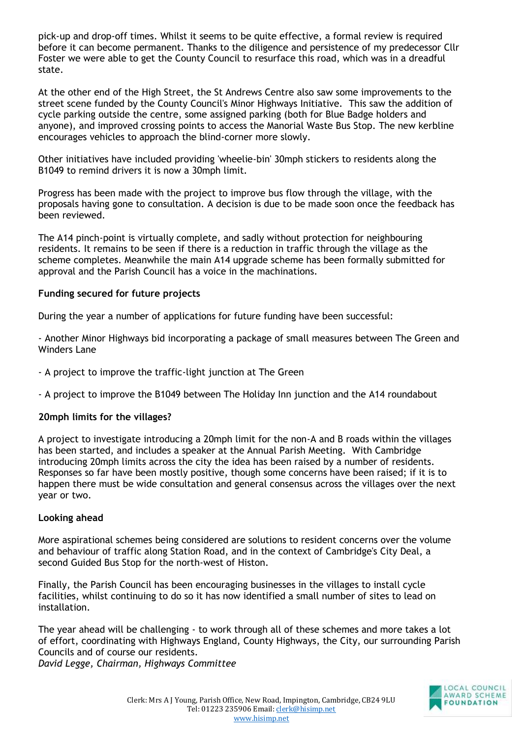pick-up and drop-off times. Whilst it seems to be quite effective, a formal review is required before it can become permanent. Thanks to the diligence and persistence of my predecessor Cllr Foster we were able to get the County Council to resurface this road, which was in a dreadful state.

At the other end of the High Street, the St Andrews Centre also saw some improvements to the street scene funded by the County Council's Minor Highways Initiative. This saw the addition of cycle parking outside the centre, some assigned parking (both for Blue Badge holders and anyone), and improved crossing points to access the Manorial Waste Bus Stop. The new kerbline encourages vehicles to approach the blind-corner more slowly.

Other initiatives have included providing 'wheelie-bin' 30mph stickers to residents along the B1049 to remind drivers it is now a 30mph limit.

Progress has been made with the project to improve bus flow through the village, with the proposals having gone to consultation. A decision is due to be made soon once the feedback has been reviewed.

The A14 pinch-point is virtually complete, and sadly without protection for neighbouring residents. It remains to be seen if there is a reduction in traffic through the village as the scheme completes. Meanwhile the main A14 upgrade scheme has been formally submitted for approval and the Parish Council has a voice in the machinations.

#### **Funding secured for future projects**

During the year a number of applications for future funding have been successful:

- Another Minor Highways bid incorporating a package of small measures between The Green and Winders Lane

- A project to improve the traffic-light junction at The Green
- A project to improve the B1049 between The Holiday Inn junction and the A14 roundabout

#### **20mph limits for the villages?**

A project to investigate introducing a 20mph limit for the non-A and B roads within the villages has been started, and includes a speaker at the Annual Parish Meeting. With Cambridge introducing 20mph limits across the city the idea has been raised by a number of residents. Responses so far have been mostly positive, though some concerns have been raised; if it is to happen there must be wide consultation and general consensus across the villages over the next year or two.

#### **Looking ahead**

More aspirational schemes being considered are solutions to resident concerns over the volume and behaviour of traffic along Station Road, and in the context of Cambridge's City Deal, a second Guided Bus Stop for the north-west of Histon.

Finally, the Parish Council has been encouraging businesses in the villages to install cycle facilities, whilst continuing to do so it has now identified a small number of sites to lead on installation.

The year ahead will be challenging - to work through all of these schemes and more takes a lot of effort, coordinating with Highways England, County Highways, the City, our surrounding Parish Councils and of course our residents.

*David Legge, Chairman, Highways Committee* 

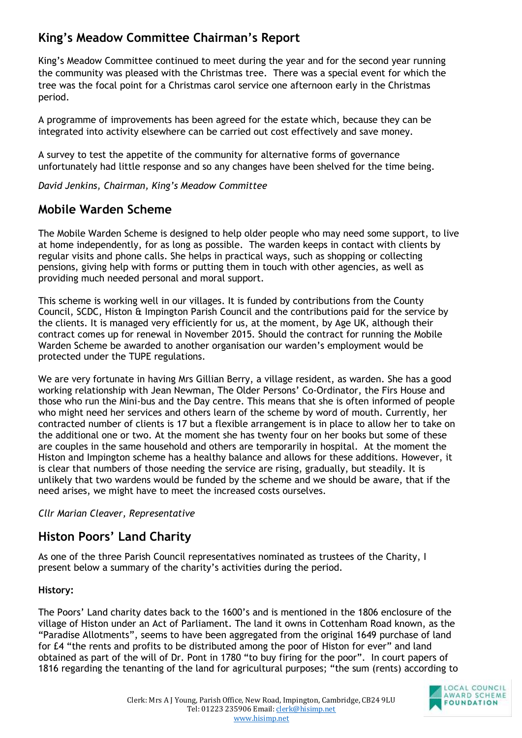## **King's Meadow Committee Chairman's Report**

King's Meadow Committee continued to meet during the year and for the second year running the community was pleased with the Christmas tree. There was a special event for which the tree was the focal point for a Christmas carol service one afternoon early in the Christmas period.

A programme of improvements has been agreed for the estate which, because they can be integrated into activity elsewhere can be carried out cost effectively and save money.

A survey to test the appetite of the community for alternative forms of governance unfortunately had little response and so any changes have been shelved for the time being.

*David Jenkins, Chairman, King's Meadow Committee* 

## **Mobile Warden Scheme**

The Mobile Warden Scheme is designed to help older people who may need some support, to live at home independently, for as long as possible. The warden keeps in contact with clients by regular visits and phone calls. She helps in practical ways, such as shopping or collecting pensions, giving help with forms or putting them in touch with other agencies, as well as providing much needed personal and moral support.

This scheme is working well in our villages. It is funded by contributions from the County Council, SCDC, Histon & Impington Parish Council and the contributions paid for the service by the clients. It is managed very efficiently for us, at the moment, by Age UK, although their contract comes up for renewal in November 2015. Should the contract for running the Mobile Warden Scheme be awarded to another organisation our warden's employment would be protected under the TUPE regulations.

We are very fortunate in having Mrs Gillian Berry, a village resident, as warden. She has a good working relationship with Jean Newman, The Older Persons' Co-Ordinator, the Firs House and those who run the Mini-bus and the Day centre. This means that she is often informed of people who might need her services and others learn of the scheme by word of mouth. Currently, her contracted number of clients is 17 but a flexible arrangement is in place to allow her to take on the additional one or two. At the moment she has twenty four on her books but some of these are couples in the same household and others are temporarily in hospital. At the moment the Histon and Impington scheme has a healthy balance and allows for these additions. However, it is clear that numbers of those needing the service are rising, gradually, but steadily. It is unlikely that two wardens would be funded by the scheme and we should be aware, that if the need arises, we might have to meet the increased costs ourselves.

#### *Cllr Marian Cleaver, Representative*

## **Histon Poors' Land Charity**

As one of the three Parish Council representatives nominated as trustees of the Charity, I present below a summary of the charity's activities during the period.

#### **History:**

The Poors' Land charity dates back to the 1600's and is mentioned in the 1806 enclosure of the village of Histon under an Act of Parliament. The land it owns in Cottenham Road known, as the "Paradise Allotments", seems to have been aggregated from the original 1649 purchase of land for £4 "the rents and profits to be distributed among the poor of Histon for ever" and land obtained as part of the will of Dr. Pont in 1780 "to buy firing for the poor". In court papers of 1816 regarding the tenanting of the land for agricultural purposes; "the sum (rents) according to